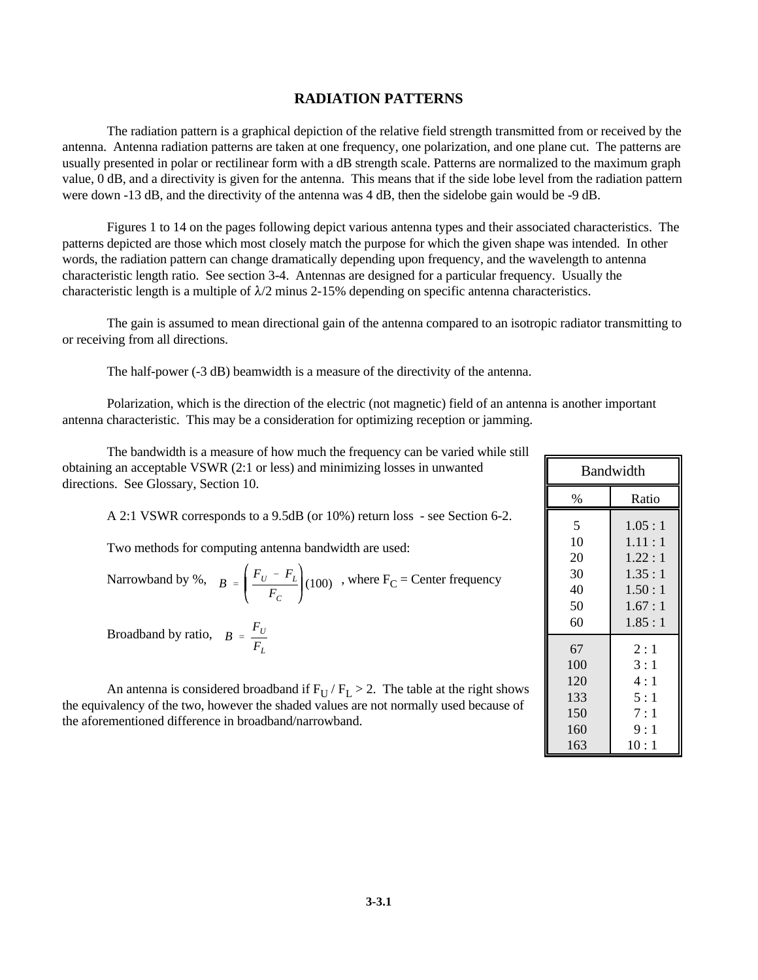## **RADIATION PATTERNS**

The radiation pattern is a graphical depiction of the relative field strength transmitted from or received by the antenna. Antenna radiation patterns are taken at one frequency, one polarization, and one plane cut. The patterns are usually presented in polar or rectilinear form with a dB strength scale. Patterns are normalized to the maximum graph value, 0 dB, and a directivity is given for the antenna. This means that if the side lobe level from the radiation pattern were down -13 dB, and the directivity of the antenna was 4 dB, then the sidelobe gain would be -9 dB.

Figures 1 to 14 on the pages following depict various antenna types and their associated characteristics. The patterns depicted are those which most closely match the purpose for which the given shape was intended. In other words, the radiation pattern can change dramatically depending upon frequency, and the wavelength to antenna characteristic length ratio. See section 3-4. Antennas are designed for a particular frequency. Usually the characteristic length is a multiple of  $\lambda/2$  minus 2-15% depending on specific antenna characteristics.

The gain is assumed to mean directional gain of the antenna compared to an isotropic radiator transmitting to or receiving from all directions.

The half-power (-3 dB) beamwidth is a measure of the directivity of the antenna.

Polarization, which is the direction of the electric (not magnetic) field of an antenna is another important antenna characteristic. This may be a consideration for optimizing reception or jamming.

The bandwidth is a measure of how much the frequency can be varied while still obtaining an acceptable VSWR (2:1 or less) and minimizing losses in unwanted directions. See Glossary, Section 10.

A 2:1 VSWR corresponds to a 9.5dB (or 10%) return loss - see Section 6-2.

Two methods for computing antenna bandwidth are used:

Narrowband by %, 
$$
B = \left(\frac{F_U - F_L}{F_C}\right) (100)
$$
, where  $F_C$  = Center frequency

 $B = \frac{F_U}{\sqrt{2}}$ *FL* Broadband by ratio,

An antenna is considered broadband if  $F_U / F_L > 2$ . The table at the right shows the equivalency of the two, however the shaded values are not normally used because of the aforementioned difference in broadband/narrowband.

| <b>Bandwidth</b> |        |
|------------------|--------|
| %                | Ratio  |
| 5                | 1.05:1 |
| 10               | 1.11:1 |
| 20               | 1.22:1 |
| 30               | 1.35:1 |
| 40               | 1.50:1 |
| 50               | 1.67:1 |
| 60               | 1.85:1 |
| 67               | 2:1    |
| 100              | 3:1    |
| 120              | 4:1    |
| 133              | 5:1    |
| 150              | 7:1    |
| 160              | 9:1    |
| 163              | 10:1   |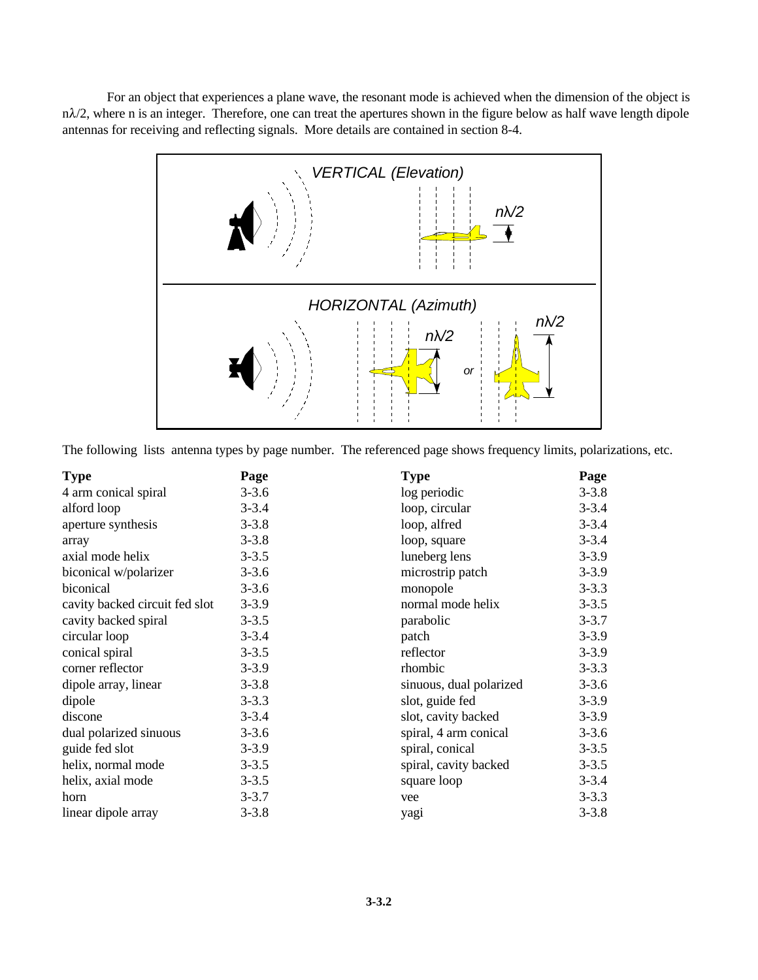For an object that experiences a plane wave, the resonant mode is achieved when the dimension of the object is  $n\lambda/2$ , where n is an integer. Therefore, one can treat the apertures shown in the figure below as half wave length dipole antennas for receiving and reflecting signals. More details are contained in section 8-4.



The following lists antenna types by page number. The referenced page shows frequency limits, polarizations, etc.

| <b>Type</b>                    | Page      | <b>Type</b>             | Page      |
|--------------------------------|-----------|-------------------------|-----------|
| 4 arm conical spiral           | $3 - 3.6$ | log periodic            | $3 - 3.8$ |
| alford loop                    | $3 - 3.4$ | loop, circular          | $3 - 3.4$ |
| aperture synthesis             | $3 - 3.8$ | loop, alfred            | $3 - 3.4$ |
| array                          | $3 - 3.8$ | loop, square            | $3 - 3.4$ |
| axial mode helix               | $3 - 3.5$ | luneberg lens           | $3 - 3.9$ |
| biconical w/polarizer          | $3 - 3.6$ | microstrip patch        | $3 - 3.9$ |
| biconical                      | $3 - 3.6$ | monopole                | $3 - 3.3$ |
| cavity backed circuit fed slot | $3 - 3.9$ | normal mode helix       | $3 - 3.5$ |
| cavity backed spiral           | $3 - 3.5$ | parabolic               | $3 - 3.7$ |
| circular loop                  | $3 - 3.4$ | patch                   | $3 - 3.9$ |
| conical spiral                 | $3 - 3.5$ | reflector               | $3 - 3.9$ |
| corner reflector               | $3 - 3.9$ | rhombic                 | $3 - 3.3$ |
| dipole array, linear           | $3 - 3.8$ | sinuous, dual polarized | $3 - 3.6$ |
| dipole                         | $3 - 3.3$ | slot, guide fed         | $3 - 3.9$ |
| discone                        | $3 - 3.4$ | slot, cavity backed     | $3 - 3.9$ |
| dual polarized sinuous         | $3 - 3.6$ | spiral, 4 arm conical   | $3 - 3.6$ |
| guide fed slot                 | $3 - 3.9$ | spiral, conical         | $3 - 3.5$ |
| helix, normal mode             | $3 - 3.5$ | spiral, cavity backed   | $3 - 3.5$ |
| helix, axial mode              | $3 - 3.5$ | square loop             | $3 - 3.4$ |
| horn                           | $3 - 3.7$ | vee                     | $3 - 3.3$ |
| linear dipole array            | $3 - 3.8$ | yagi                    | $3 - 3.8$ |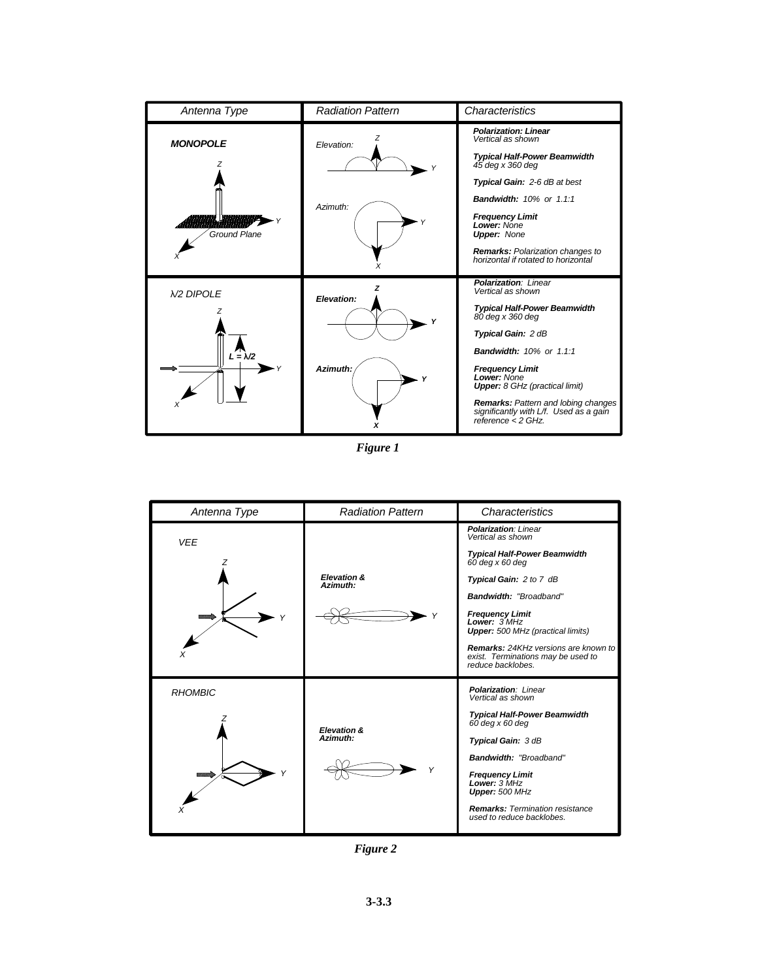| Antenna Type                                   | <b>Radiation Pattern</b> | Characteristics                                                                                                                                                                                                                                                                                                                                                   |
|------------------------------------------------|--------------------------|-------------------------------------------------------------------------------------------------------------------------------------------------------------------------------------------------------------------------------------------------------------------------------------------------------------------------------------------------------------------|
| <b>MONOPOLE</b><br>Ground Plane                | Elevation:<br>Azimuth:   | <b>Polarization: Linear</b><br>Vertical as shown<br><b>Typical Half-Power Beamwidth</b><br>$45$ deg x 360 deg<br>Typical Gain: 2-6 dB at best<br><b>Bandwidth: 10% or 1.1:1</b><br><b>Frequency Limit</b><br>Lower: None<br><b>Upper: None</b><br><b>Remarks:</b> Polarization changes to<br>horizontal if rotated to horizontal                                  |
| <b>N/2 DIPOLE</b><br>$\mathcal{L} = \lambda/2$ | Elevation:<br>Azimuth:   | <b>Polarization: Linear</b><br>Vertical as shown<br><b>Typical Half-Power Beamwidth</b><br>80 deg x 360 deg<br>Typical Gain: 2 dB<br><b>Bandwidth: 10% or 1.1:1</b><br><b>Frequency Limit</b><br>Lower: None<br><b>Upper:</b> 8 GHz (practical limit)<br>Remarks: Pattern and lobing changes<br>significantly with L/f. Used as a gain<br>reference $\leq$ 2 GHz. |

*Figure 1*



*Figure 2*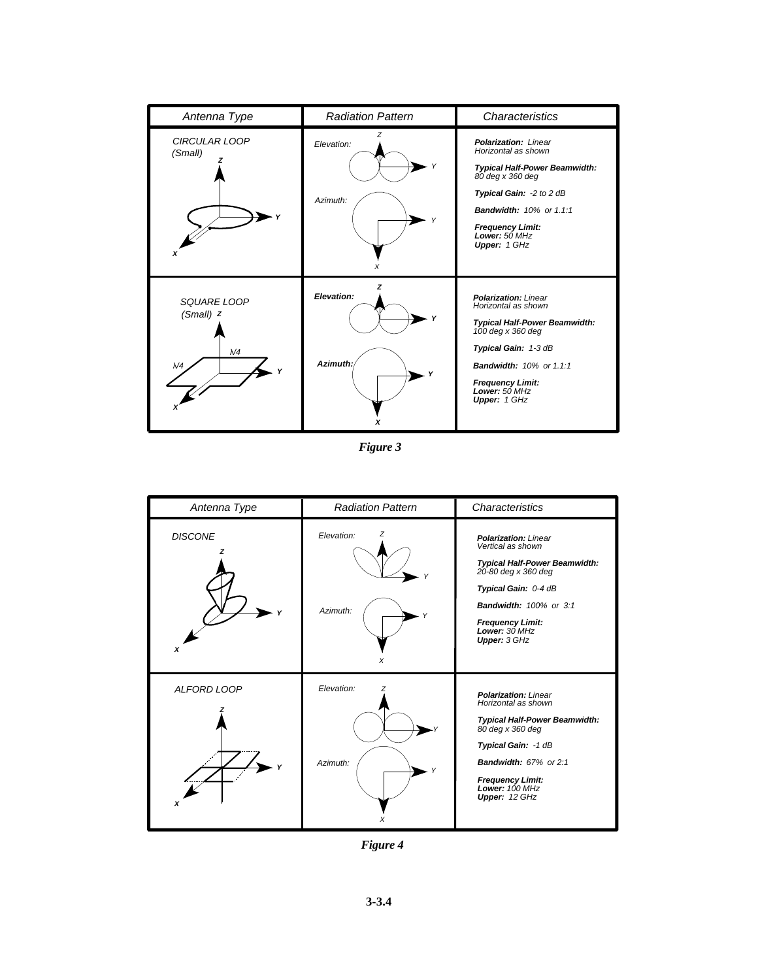| Antenna Type                                               | <b>Radiation Pattern</b>    | Characteristics                                                                                                                                                                                                                          |
|------------------------------------------------------------|-----------------------------|------------------------------------------------------------------------------------------------------------------------------------------------------------------------------------------------------------------------------------------|
| CIRCULAR LOOP<br>(Small)<br>x                              | Elevation:<br>Azimuth:<br>Х | <b>Polarization: Linear</b><br>Horizontal as shown<br><b>Typical Half-Power Beamwidth:</b><br>80 deg x 360 deg<br>Typical Gain: -2 to 2 dB<br><b>Bandwidth: 10% or 1.1:1</b><br><b>Frequency Limit:</b><br>Lower: 50 MHz<br>Upper: 1 GHz |
| SQUARE LOOP<br>$(Small)$ Z<br>$\lambda$ /4<br>$\lambda$ /4 | 7<br>Elevation:<br>Azimuth: | <b>Polarization: Linear</b><br>Horizontal as shown<br><b>Typical Half-Power Beamwidth:</b><br>100 deg x 360 deg<br>Typical Gain: 1-3 dB<br><b>Bandwidth: 10% or 1.1:1</b><br><b>Frequency Limit:</b><br>Lower: 50 MHz<br>Upper: 1 GHz    |

*Figure 3*



*Figure 4*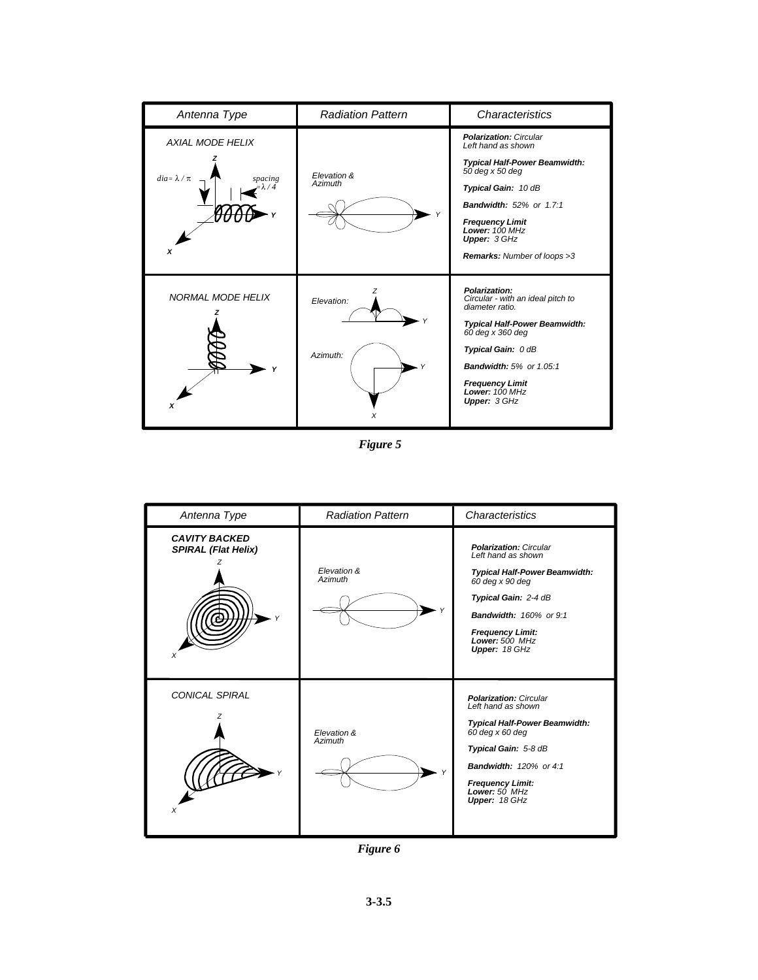| Antenna Type                                                                 | <b>Radiation Pattern</b> | Characteristics                                                                                                                                                                                                                                                           |
|------------------------------------------------------------------------------|--------------------------|---------------------------------------------------------------------------------------------------------------------------------------------------------------------------------------------------------------------------------------------------------------------------|
| <b>AXIAL MODE HELIX</b><br>$dia \approx \lambda / \pi$<br>spacing<br>/4<br>X | Elevation &<br>Azimuth   | <b>Polarization: Circular</b><br>Left hand as shown<br><b>Typical Half-Power Beamwidth:</b><br>50 deg x 50 deg<br>Typical Gain: 10 dB<br><b>Bandwidth: 52% or 1.7:1</b><br><b>Frequency Limit</b><br>Lower: 100 MHz<br>Upper: 3 GHz<br><b>Remarks:</b> Number of loops >3 |
| <b>NORMAL MODE HELIX</b><br>x                                                | Elevation:<br>Azimuth:   | Polarization:<br>Circular - with an ideal pitch to<br>diameter ratio.<br>Typical Half-Power Beamwidth:<br>$60$ deg x 360 deg<br>Typical Gain: 0 dB<br><b>Bandwidth: 5% or 1.05:1</b><br><b>Frequency Limit</b><br>Lower: $100$ MHz<br>Upper: 3 GHz                        |

*Figure 5*



*Figure 6*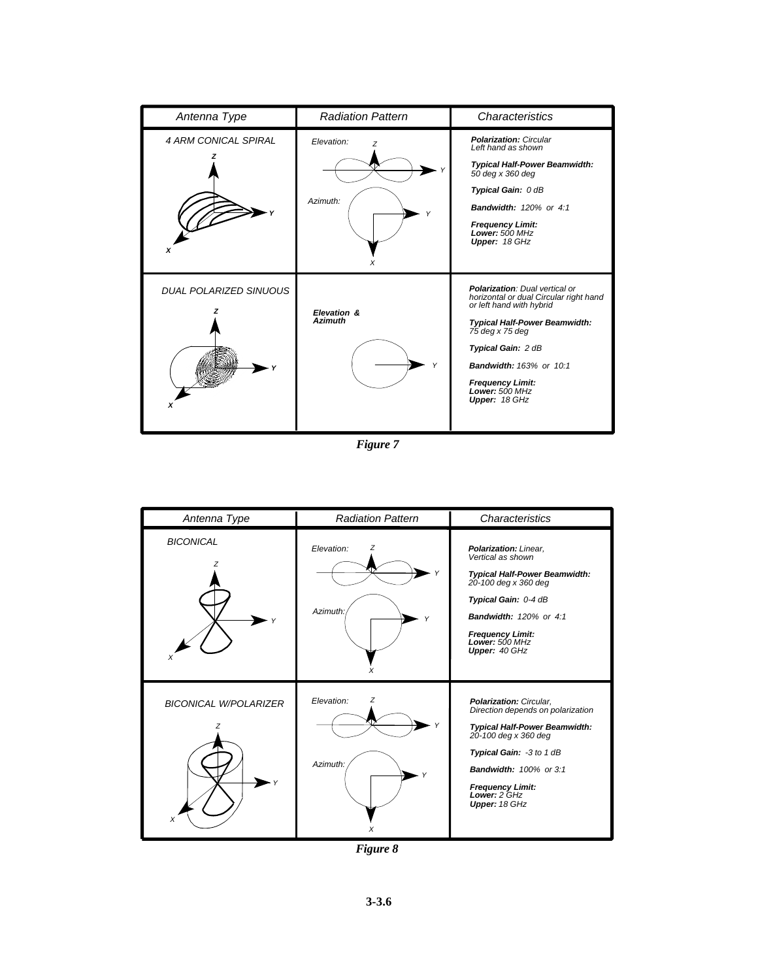| Antenna Type                  | <b>Radiation Pattern</b>           | Characteristics                                                                                                                                                                                                                                                                              |
|-------------------------------|------------------------------------|----------------------------------------------------------------------------------------------------------------------------------------------------------------------------------------------------------------------------------------------------------------------------------------------|
| <b>4 ARM CONICAL SPIRAL</b>   | Elevation:<br>z<br>Azimuth:<br>x   | <b>Polarization: Circular</b><br>Left hand as shown<br><b>Typical Half-Power Beamwidth:</b><br>50 deg x 360 deg<br>Typical Gain: 0 dB<br><b>Bandwidth: 120% or 4:1</b><br><b>Frequency Limit:</b><br>Lower: 500 MHz<br>Upper: 18 GHz                                                         |
| <b>DUAL POLARIZED SINUOUS</b> | Elevation &<br><b>Azimuth</b><br>Υ | <b>Polarization: Dual vertical or</b><br>horizontal or dual Circular right hand<br>or left hand with hybrid<br><b>Typical Half-Power Beamwidth:</b><br>75 deg x 75 deg<br>Typical Gain: 2 dB<br><b>Bandwidth: 163% or 10:1</b><br><b>Frequency Limit:</b><br>Lower: 500 MHz<br>Upper: 18 GHz |

*Figure 7*



*Figure 8*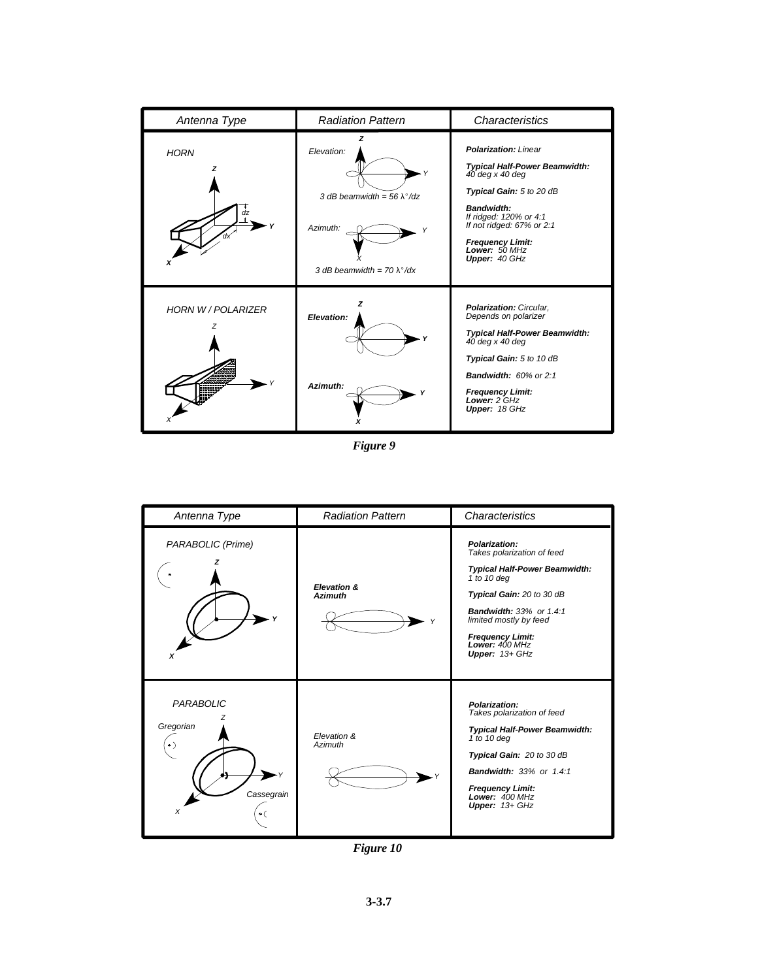| Antenna Type              | <b>Radiation Pattern</b>                                                                                             | Characteristics                                                                                                                                                                                                                                         |
|---------------------------|----------------------------------------------------------------------------------------------------------------------|---------------------------------------------------------------------------------------------------------------------------------------------------------------------------------------------------------------------------------------------------------|
| <b>HORN</b><br>7<br>àz    | Elevation:<br>3 dB beamwidth = 56 $\lambda^{\circ}$ /dz<br>Azimuth:<br>٧<br>3 dB beamwidth = $70 \lambda^{\circ}/dx$ | <b>Polarization: Linear</b><br><b>Typical Half-Power Beamwidth:</b><br>40 deg x 40 deg<br>Typical Gain: 5 to 20 dB<br>Bandwidth:<br>If ridged: 120% or 4:1<br>If not ridged: $67\%$ or 2:1<br><b>Frequency Limit:</b><br>Lower: 50 MHz<br>Upper: 40 GHz |
| <b>HORN W / POLARIZER</b> | 7<br>Elevation:<br>Azimuth:                                                                                          | Polarization: Circular,<br>Depends on polarizer<br>Typical Half-Power Beamwidth:<br>$40$ deg x $40$ deg<br>Typical Gain: 5 to 10 dB<br>Bandwidth: 60% or 2:1<br><b>Frequency Limit:</b><br>Lower: 2 GHz<br>Upper: 18 GHz                                |

*Figure 9*



*Figure 10*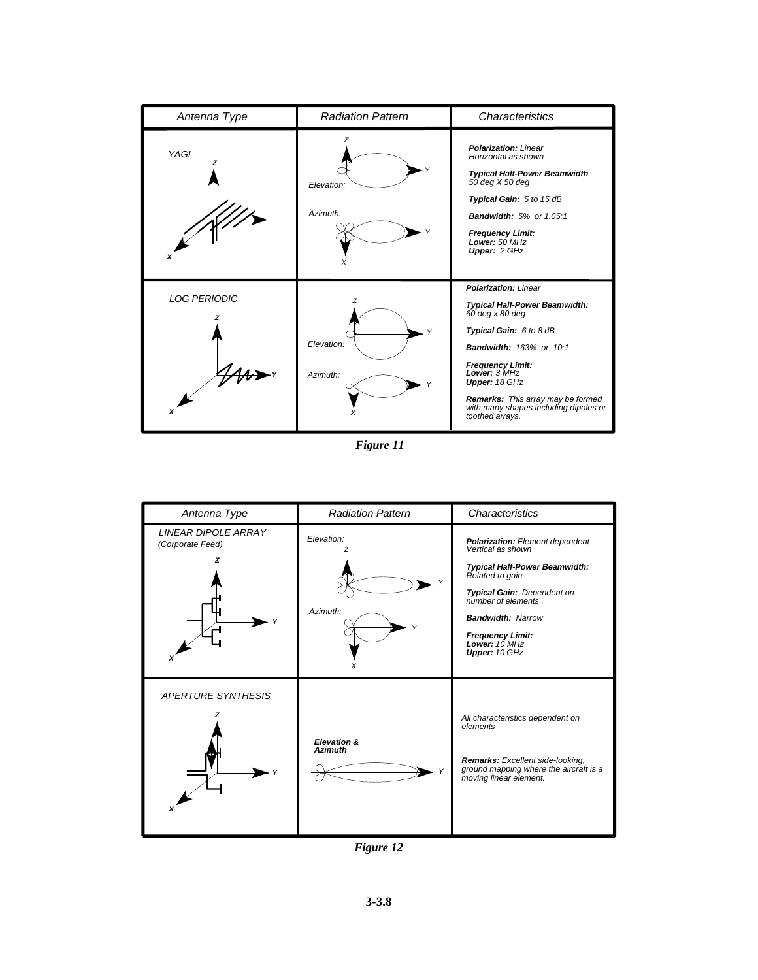| Antenna Type        | <b>Radiation Pattern</b>         | <b>Characteristics</b>                                                                                                                                                                                                                                                                                             |
|---------------------|----------------------------------|--------------------------------------------------------------------------------------------------------------------------------------------------------------------------------------------------------------------------------------------------------------------------------------------------------------------|
| YAGI                | Z<br>Elevation:<br>Azimuth:<br>X | <b>Polarization: Linear</b><br>Horizontal as shown<br><b>Typical Half-Power Beamwidth</b><br>50 deg X 50 deg<br>Typical Gain: 5 to 15 dB<br><b>Bandwidth: 5% or 1.05:1</b><br><b>Frequency Limit:</b><br>Lower: 50 MHz<br>Upper: 2 GHz                                                                             |
| <b>LOG PERIODIC</b> | z<br>Elevation:<br>Azimuth:      | <b>Polarization: Linear</b><br>Typical Half-Power Beamwidth:<br>$60$ deg x 80 deg<br>Typical Gain: 6 to 8 dB<br><b>Bandwidth: 163% or 10:1</b><br><b>Frequency Limit:</b><br>Lower: 3 MHz<br>Upper: 18 GHz<br><b>Remarks:</b> This array may be formed<br>with many shapes including dipoles or<br>toothed arrays. |

*Figure 11*



*Figure 12*